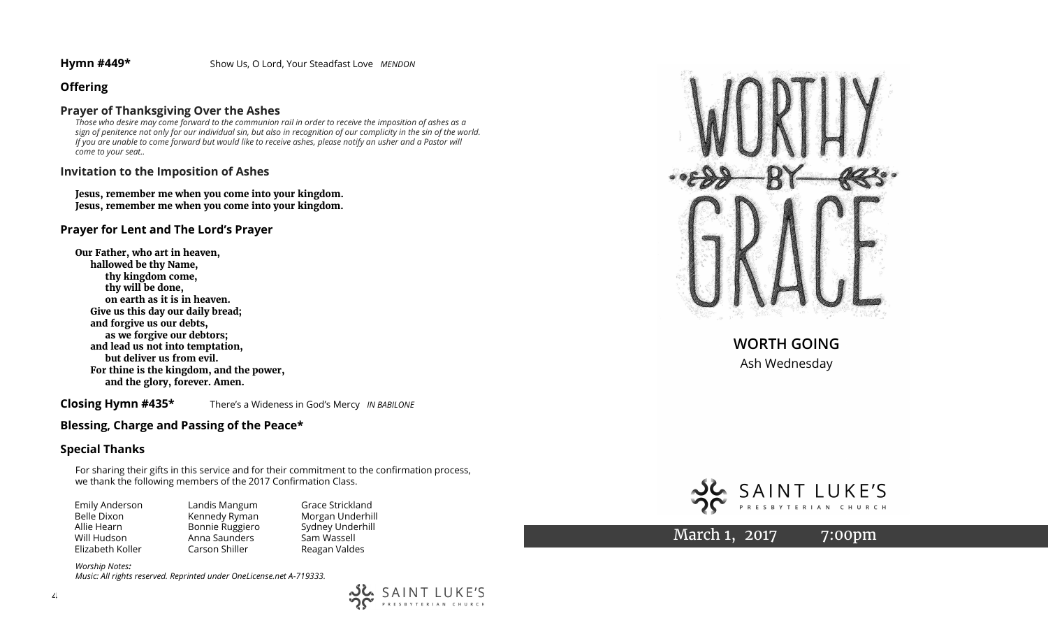# **Offering**

## **Prayer of Thanksgiving Over the Ashes**

*Those who desire may come forward to the communion rail in order to receive the imposition of ashes as a sign of penitence not only for our individual sin, but also in recognition of our complicity in the sin of the world. If you are unable to come forward but would like to receive ashes, please notify an usher and a Pastor will come to your seat..*

## **Invitation to the Imposition of Ashes**

**Jesus, remember me when you come into your kingdom. Jesus, remember me when you come into your kingdom.**

# **Prayer for Lent and The Lord's Prayer**

**Our Father, who art in heaven, hallowed be thy Name, thy kingdom come, thy will be done, on earth as it is in heaven. Give us this day our daily bread; and forgive us our debts, as we forgive our debtors; and lead us not into temptation, but deliver us from evil. For thine is the kingdom, and the power, and the glory, forever. Amen.**

**Closing Hymn #435\*** There's a Wideness in God's Mercy *IN BABILONE*

# **Blessing, Charge and Passing of the Peace\***

# **Special Thanks**

For sharing their gifts in this service and for their commitment to the confirmation process, we thank the following members of the 2017 Confirmation Class.

| Emily Anderson   | Landis Mangum   | Grace  |
|------------------|-----------------|--------|
| Belle Dixon      | Kennedy Ryman   | Morga  |
| Allie Hearn      | Bonnie Ruggiero | Sydney |
| Will Hudson      | Anna Saunders   | Sam W  |
| Elizabeth Koller | Carson Shiller  | Reagar |

Strickland an Underhill v Underhill Vassell an Valdes

مرد.<br>مرد

SAINT LUKE'S PRESBYTERIAN CHURCH

*Worship Notes: Music: All rights reserved. Reprinted under OneLicense.net A-719333.* 



**WORTH GOING** Ash Wednesday



March 1, 2017 7:00pm